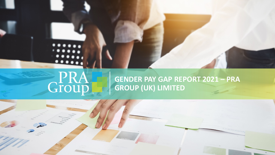# GPRA

## **GENDER PAY GAP REPORT 2021 – PRA GROUP (UK) LIMITED**

1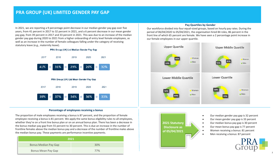### **PRA GROUP (UK) LIMITED GENDER PAY GAP**

In 2021, we are reporting a 9 percentage point decrease in our median gender pay gap over five years, from 41 percent in 2017 to 32 percent in 2021, and a 6 percent decrease in our mean gender pay gap, from 39 percent in 2017 and 33 percent in 2021. This was due to an increase of the median gender pay gap during 2020 to 2021 from a higher onboarding of entry level female employees, as well as an increase in the number of female colleagues falling under the category of receiving statutory leave (e.g., maternity leave).

#### PRA Group (UK) Ltd Median Gender Pay Gap



#### **Percentage of employees receiving a bonus**

The proportion of male employees receiving a bonus is 87 percent, and the proportion of female employee receiving a bonus is 81 percent. We apply the same bonus eligibility rules to all employees, whether they're on a front line bonus plan or on an annual bonus plan. There has been a decrease in the bonus median pay gap from 55 percent to 30 percent. This is due an increase in the number of frontline females above the median bonus pay and a decrease of the number of frontline males above the median bonus pay. These payments are performance incentive payments.

| 2021                        |     |
|-----------------------------|-----|
| <b>Bonus Median Pay Gap</b> | 30% |
| <b>Bonus Mean Pay Gap</b>   | 77% |

#### **Pay Quartiles by Gender**

Our workforce divided into four equal-sized groups, based on hourly pay rates. During the period of 06/04/2020 to 05/04/2021, the organisation hired 84 roles, 86 percent in the front line of which 65 percent are female. We have seen a 2 percentage point increase in our female employees in our upper quartile.





- Our median gender pay gap is 32 percent
- Our mean gender pay gap is 33 percent
- Our median bonus pay gap is 30 percent
- Our mean bonus pay gap is 77 percent
- Women receiving a bonus: 81 percent
- Men receiving a bonus: 87 percent



2